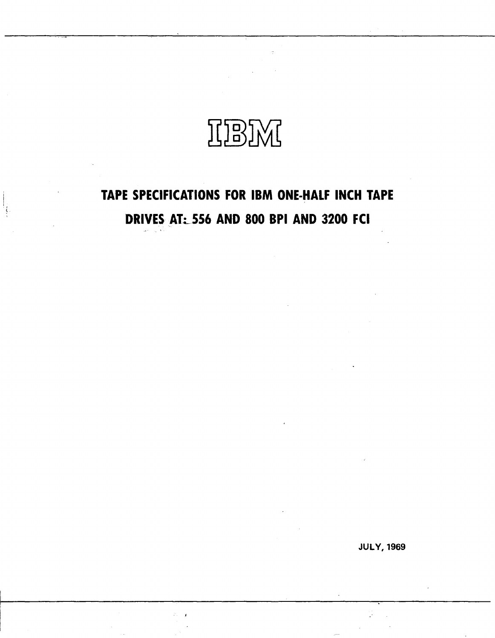

# **TAPE SPECIFICATIONS FOR IBM ONE·HALF INCH TAPE DRIVES AT: 556 AND 800 BPI AND 3200 FCI**

-, . <sup>~</sup>

ţ

JULY, 1969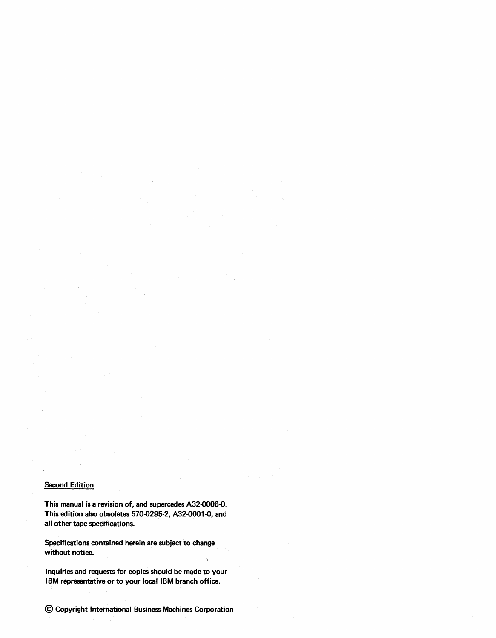## **Second Edition**

This manual is a revision of, and supercedes A32-OO06-O. This edition also obsoletes 570-0295-2, A32-0001-O, and all other tape specifications.

Specifications contained herein are subject to change without notice.

Inquiries and requests for copies should be made to your IBM representative or to your local IBM branch office.

©Copyright International Business Machines Corporation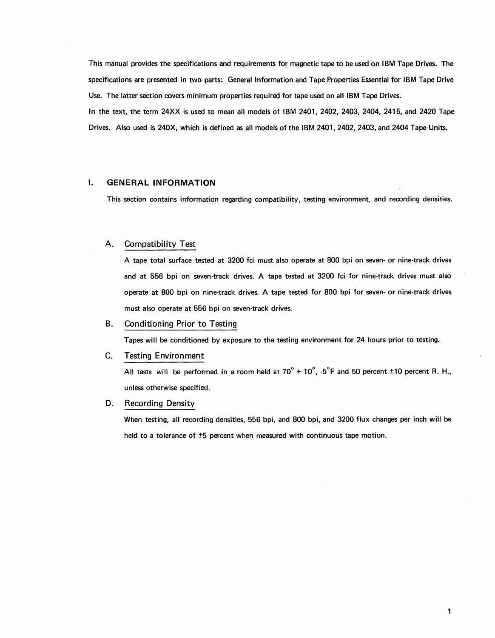This manual provides the specifications and requirements for magnetic tape to be used on IBM Tape Drives. The specifications are presented in two parts: General Information and Tape Properties Essential for IBM Tape Drive Use. The latter section covers minimum properties required for tape used on all IBM Tape Drives. In the text, the term 24XX is used to mean all models of IBM 2401, 2402, 2403, 2404, 2415, and 2420 Tape Drives. Also used is 240X, which is defined as all models of the IBM 2401, 2402, 2403, and 2404 Tape Units.

# **I. GENERAL INFORMATION**

This section contains information regarding compatibility, testing environment, and recording densities.

# A. Compatibility Test

A tape total surface tested at 3200 fci must also operate at 800 bpi on seven- or nine-track drives and at 556 bpi on seven-track drives. A tape tested at 3200 fci for nine-track drives must also operate at 800 bpi on nine-track drives. A tape tested for 800 bpi for seven- or nine-track drives must also operate at 556 bpi on seven-track drives.

#### B. Conditioning Prior to Testing

Tapes will be conditioned by exposure to the testing environment for 24 hours prior to testing.

#### C. Testing Environment

All tests will be performed in a room held at  $70^{\circ}$  +  $10^{\circ}$ ,  $5^{\circ}$ F and 50 percent ±10 percent R. H., unless otherwise specified.

#### D. Recording Density

When testing, all recording densities, 556 bpi, and 800 bpi, and 3200 flux changes per inch will be held to a tolerance of  $\pm 5$  percent when measured with continuous tape motion.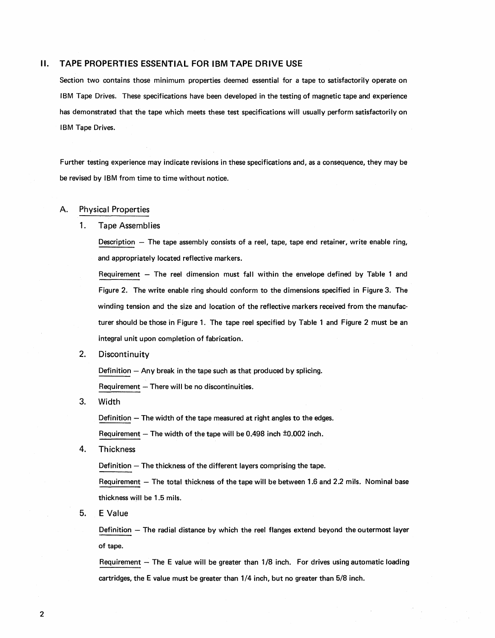# **II. TAPE PROPERTIES ESSENTIAL FOR IBM TAPE DRIVE USE**

Section two contains those minimum properties deemed essential for a tape to satisfactorily operate on IBM Tape Drives. These specifications have been developed in the testing of magnetic tape and experience has demonstrated that the tape which meets these test specifications will usually perform satisfactorily on IBM Tape Drives.

Further testing experience may indicate revisions in these specifications and, as a consequence, they may be be revised by IBM from time to time without notice.

# A. Physical Properties

#### 1. Tape Assemblies

Description - The tape assembly consists of a reel, tape, tape end retainer, write enable ring, and appropriately located reflective markers.

Requirement  $-$  The reel dimension must fall within the envelope defined by Table 1 and Figure 2. The write enable ring should conform to the dimensions specified in Figure 3. The winding tension and the size and location of the reflective markers received from the manufacturer should be those in Figure 1. The tape reel specified by Table 1 and Figure 2 must be an integral unit upon completion of fabrication.

2. Discontinuity

Definition  $-$  Any break in the tape such as that produced by splicing.

 $Required - There will be no discontinuities.$ 

3. Width

Definition  $-$  The width of the tape measured at right angles to the edges.

Requirement  $-$  The width of the tape will be 0.498 inch  $\pm$ 0.002 inch.

4. Thickness

Definition  $-$  The thickness of the different layers comprising the tape.

Requirement - The total thickness of the tape will be between 1.6 and 2.2 mils. Nominal base thickness will be 1.5 mils.

5. E Value

Definition - The radial distance by which the reel flanges extend beyond the outermost layer of tape.

Requirement - The E value will be greater than 1/8 inch. For drives using automatic loading cartridges, the E value must be greater than 1/4 inch, but no greater than 5/8 inch.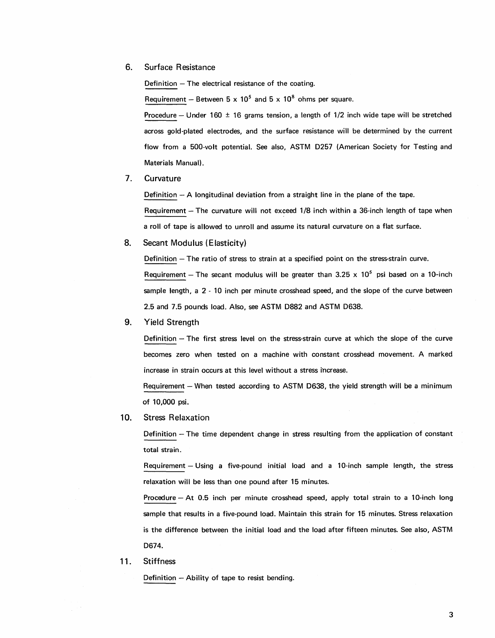6. Surface Resistance

Definition  $-$  The electrical resistance of the coating.

Requirement - Between  $5 \times 10^5$  and  $5 \times 10^8$  ohms per square.

Procedure - Under 160  $\pm$  16 grams tension, a length of 1/2 inch wide tape will be stretched across gold-plated electrodes, and the surface resistance will be determined by the current flow from a 500-volt potential. See also, ASTM 0257 (American Society for Testing and Materials Manual).

7. Curvature

Definition  $- A$  longitudinal deviation from a straight line in the plane of the tape.

Requirement - The curvature will not exceed 1/8 inch within a 36-inch length of tape when a roll of tape is allowed to unroll and assume its natural curvature on a flat surface.

8. Secant Modulus (Elasticity)

Definition - The ratio of stress to strain at a specified point on the stress-strain curve. Requirement - The secant modulus will be greater than 3.25  $\times$  10<sup>5</sup> psi based on a 10-inch sample length, a 2 - 10 inch per minute crosshead speed, and the slope of the curve between 2.5 and 7.5 pounds load. Also, see ASTM 0882 and ASTM 0638.

9. Yield Strength

Definition  $-$  The first stress level on the stress-strain curve at which the slope of the curve becomes zero when tested on a machine with constant crosshead movement. A marked increase in strain occurs at this level without a stress increase.

Requirement - When tested according to ASTM D638, the yield strength will be a minimum of 10,000 psi.

10. Stress Relaxation

Definition - The time dependent change in stress resulting from the application of constant total strain.

Requirement - Using a five-pound initial load and a 10-inch sample length, the stress relaxation will be less than one pound after 15 minutes.

Procedure - At 0.5 inch per minute crosshead speed, apply total strain to a 10-inch long sample that results in a five-pound load. Maintain this strain for 15 minutes. Stress relaxation is the difference between the initial load and the load after fifteen minutes. See also, ASTM 0674.

11. Stiffness

Definition  $-$  Ability of tape to resist bending.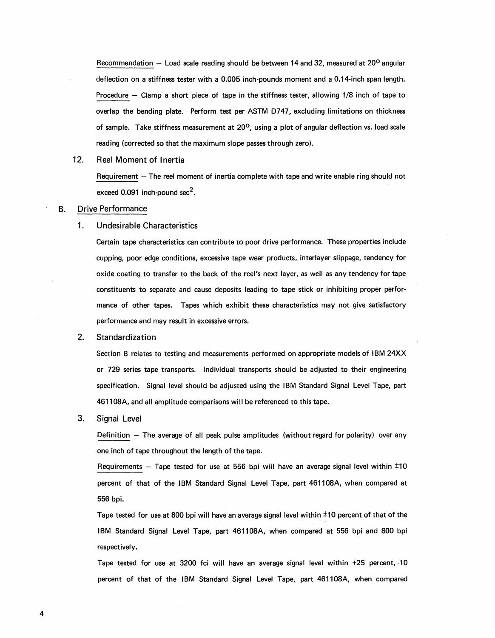Recommendation  $-$  Load scale reading should be between 14 and 32, measured at 20<sup>o</sup> angular deflection on a stiffness tester with a 0.005 inch-pounds moment and a 0.14-inch span length. Procedure - Clamp a short piece of tape in the stiffness tester, allowing 1/8 inch of tape to overlap the bending plate. Perform test per ASTM 0747, excluding limitations on thickness of sample. Take stiffness measurement at 20<sup>o</sup>, using a plot of angular deflection vs. load scale reading (corrected so that the maximum slope passes through zero).

#### 12. Reel Moment of Inertia

Requirement - The reel moment of inertia complete with tape and write enable ring should not exceed  $0.091$  inch-pound sec<sup>2</sup>.

#### B. Drive Performance

#### 1. Undesirable Characteristics

Certain tape characteristics can contribute to poor drive performance. These properties include cupping, poor edge conditions, excessive tape wear products, interlayer slippage, tendency for oxide coating to transfer to the back of the reel's next layer, as well as any tendency for tape constituents to separate and cause deposits leading to tape stick or inhibiting proper performance of other tapes. Tapes which exhibit these characteristics may not give satisfactory performance and may result in excessive errors.

#### 2. Standardization

Section B relates to testing and measurements performed on appropriate models of IBM 24XX or 729 series tape transports. Individual transports should be adjusted to their engineering specification. Signal level should be adjusted using the IBM Standard Signal Level Tape, part 461108A, and all amplitude comparisons will be referenced to this tape.

#### 3. Signal Level

Definition  $-$  The average of all peak pulse amplitudes (without regard for polarity) over any one inch of tape throughout the length of the tape.

Requirements  $-$  Tape tested for use at 556 bpi will have an average signal level within  $\pm 10$ percent of that of the IBM Standard Signal Level Tape, part 461108A, when compared at 556 bpi.

Tape tested for use at 800 bpi will have an average signal level within ±10 percent of that of the IBM Standard Signal Level Tape, part 461108A, when compared at 556 bpi and 800 bpi respectivel y.

Tape tested for use at 3200 fci will have an average signal level within +25 percent, -10 percent of that of the IBM Standard Signal Level Tape, part 461108A, when compared

4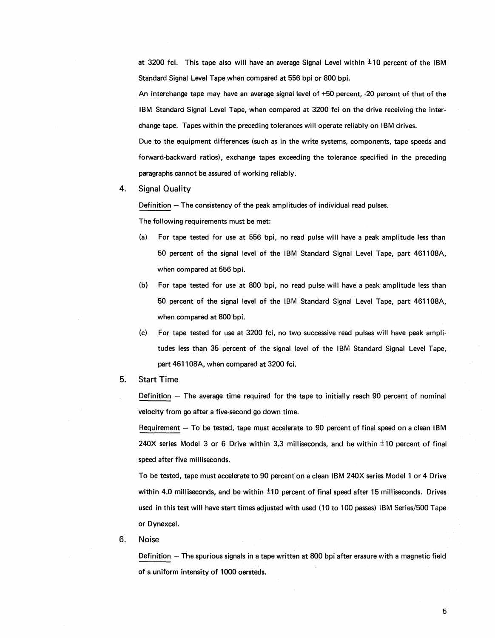at 3200 fci. This tape also will have an average Signal Level within  $\pm 10$  percent of the IBM Standard Signal Level Tape when compared at 556 bpi or 800 bpi.

An interchange tape may have an average signal level of +50 percent, -20 percent of that of the IBM Standard Signal Level Tape, when compared at 3200 fci on the drive receiving the interchange tape. Tapes within the preceding tolerances will operate reliably on IBM drives.

Due to the equipment differences (such as in the write systems, components, tape speeds and forward-backward ratios), exchange tapes exceeding the tolerance specified in the preceding paragraphs cannot be assured of working reliably.

#### 4. Signal Quality

Definition  $-$  The consistency of the peak amplitudes of individual read pulses.

The following requirements must be met:

- (a) For tape tested for use at 556 bpi, no read pulse will have a peak amplitude less than 50 percent of the signal level of the IBM Standard Signal Level Tape, part 461108A, when compared at 556 bpi.
- (b) For tape tested for use at 800 bpi, no read pulse will have a peak amplitude less than 50 percent of the signal level of the IBM Standard Signal Level Tape, part 461108A, when compared at 800 bpi.
- (c) For tape tested for use at 3200 fci, no two successive read pulses will have peak amplitudes less than 35 percent of the signal level of the IBM Standard Signal Level Tape, part 461108A, when compared at 3200 fci.
- 5. Start Time

Definition  $-$  The average time required for the tape to initially reach 90 percent of nominal velocity from go after a five-second go down time.

Requirement - To be tested, tape must accelerate to 90 percent of final speed on a clean IBM 240X series Model 3 or 6 Drive within 3.3 milliseconds, and be within  $\pm 10$  percent of final speed after five milliseconds.

To be tested, tape must accelerate to 90 percent on a clean IBM 240X series Model 1 or 4 Drive within 4.0 milliseconds, and be within  $\pm 10$  percent of final speed after 15 milliseconds. Drives used in this test will have start times adjusted with used (10 to 100 passes) IBM Series/500 Tape or Dynexcel.

6. Noise

Definition - The spurious signals in a tape written at 800 bpi after erasure with a magnetic field of a uniform intensity of 1000 oersteds.

5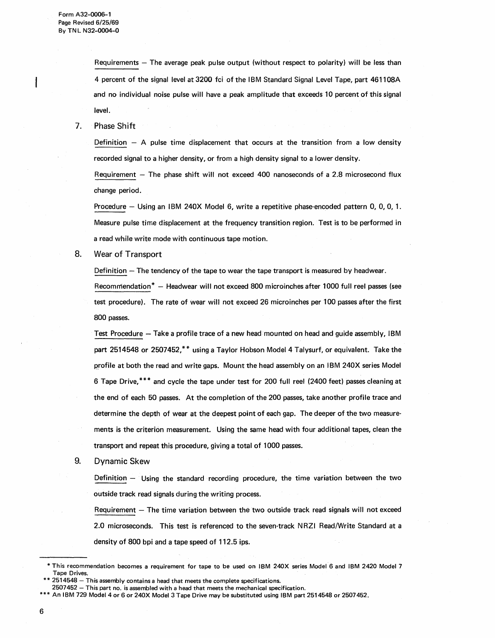Requirements  $-$  The average peak pulse output (without respect to polarity) will be less than 4 percent of the signal level at 3200 fci of the IBM Standard Signal Level Tape, part 46110BA and no individual noise pulse will have a peak amplitude that exceeds 10 percent of this signal level.

7. Phase Shift

Definition  $-$  A pulse time displacement that occurs at the transition from a low density recorded signal to a higher density, or from a high density signal to a lower density.

Requirement  $-$  The phase shift will not exceed 400 nanoseconds of a 2.8 microsecond flux change period.

Procedure - Using an IBM 240X Model 6, write a repetitive phase-encoded pattern 0, 0, 0, 1. Measure pulse time displacement at the frequency transition region. Test is to be performed in a read while write mode with continuous tape motion.

8. Wear of Transport

Definition - The tendency of the tape to wear the tape transport is measured by headwear.

Recommendation\* - Headwear will not exceed 800 microinches after 1000 full reel passes (see test procedure). The rate of wear will not exceed 26 microinches per 100 passes after the first BOO passes.

Test Procedure - Take a profile trace of a new head mounted on head and guide assembly, IBM part 251454B or 2507452,\*\* using a Taylor Hobson Model 4 Talysurf, or equivalent. Take the profile at both the read and write gaps. Mount the head assembly on an IBM 240X series Model 6 Tape Drive, \*\*\* and cycle the tape under test for 200 full reel (2400 feet) passes cleaning at the end of each 50 passes. At the completion of the 200 passes, take another profile trace and determine the depth of wear at the deepest point of each gap. The deeper of the two measurements is the criterion measurement. Using the same head with four additional tapes, clean the transport and repeat this procedure, giving a total of 1000 passes.

9. Dynamic Skew

Definition - Using the standard recording procedure, the time variation between the two outside track read signals during the writing process.

Requirement  $-$  The time variation between the two outside track read signals will not exceed 2.0 microseconds. This test is referenced to the seven-track N RZI Read/Write Standard at a density of BOO bpi and a tape speed of 112.5 ips.

<sup>\*</sup> This recommendation becomes a requirement for tape to be used on IBM 240X series Model 6 and IBM 2420 Model 7 Tape Drives.

 $2514548 -$  This assembly contains a head that meets the complete specifications.

<sup>2507452 -</sup> This part no. is assembled with a head that meets the mechanical specification.

An IBM 729 Model 4 or 6 or 240X Model 3 Tape Drive may be substituted using IBM part 2514548 or 2507452.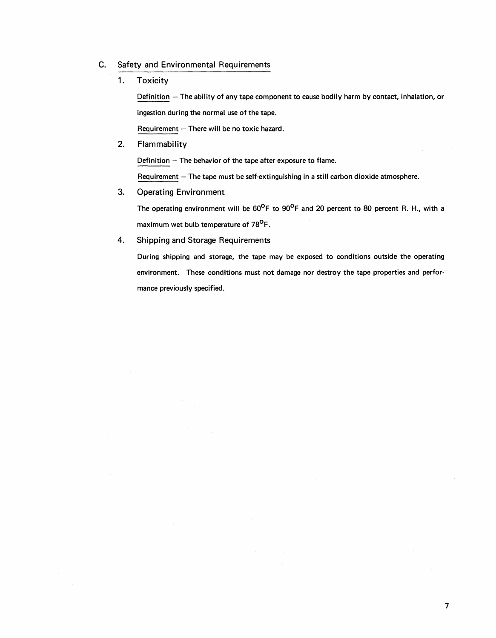- C. Safety and Environmental Requirements
	- 1. Toxicity

Definition - The ability of any tape component to cause bodily harm by contact, inhalation, or ingestion during the normal use of the tape.

 $Required - There will be no toxic hazard.$ 

2. Flammability

Definition  $-$  The behavior of the tape after exposure to flame.

Requirement  $-$  The tape must be self-extinguishing in a still carbon dioxide atmosphere.

3. Operating Environment

The operating environment will be  $60^{\circ}$ F to  $90^{\circ}$ F and 20 percent to 80 percent R. H., with a maximum wet bulb temperature of 78<sup>0</sup>F.

4. Shipping and Storage Requirements

During shipping and storage, the tape may be exposed to conditions outside the operating environment. These conditions must not damage nor destroy the tape properties and performance previously specified.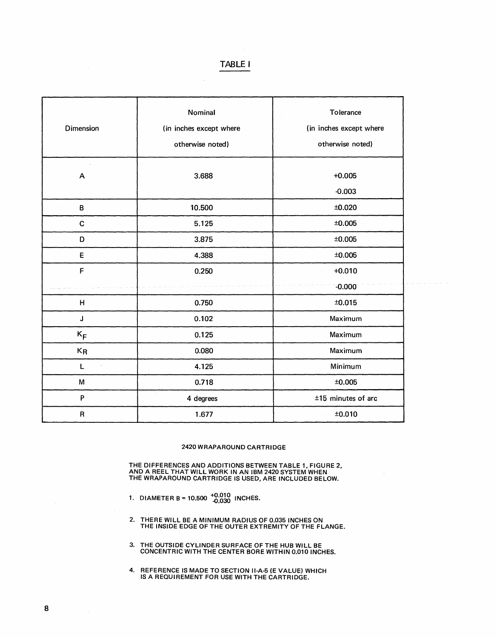# **TABLE I**

| Dimension    | Nominal<br>(in inches except where<br>otherwise noted) | Tolerance<br>(in inches except where<br>otherwise noted) |  |
|--------------|--------------------------------------------------------|----------------------------------------------------------|--|
| A            | 3.688                                                  | $+0.005$<br>$-0.003$                                     |  |
| B            | 10.500                                                 | ±0.020                                                   |  |
| $\mathbf c$  | ±0.005<br>5.125                                        |                                                          |  |
| D            | 3.875<br>±0.005                                        |                                                          |  |
| E            | 4.388                                                  | ±0.005                                                   |  |
| F            | 0.250                                                  | $+0.010$                                                 |  |
|              |                                                        | $-0.000$                                                 |  |
| $\mathsf{H}$ | 0.750                                                  | ±0.015                                                   |  |
| J            | 0.102                                                  | Maximum                                                  |  |
| $K_F$        | 0.125                                                  | Maximum                                                  |  |
| $K_{R}$      | 0.080                                                  | Maximum                                                  |  |
| L            | 4.125                                                  | Minimum                                                  |  |
| M            | 0.718                                                  | ±0.005                                                   |  |
| P            | 4 degrees                                              | $±15$ minutes of arc                                     |  |
| $\sf R$      | 1.677                                                  | ±0.010                                                   |  |

#### 2420 WRAPAROUND CARTRIDGE

THE DIFFERENCES AND ADDITIONS BETWEEN TABLE 1, FIGURE 2, AND A REEL THAT WILL WORK IN AN IBM 2420 SYSTEM WHEN THE WRAPAROUND CARTRIDGE IS USED, ARE INCLUDED BELOW.

- 1. DIAMETER B = 10.500  $^{+0.010}_{-0.030}$  INCHES.
- 2. THERE WILL BE A MINIMUM RADIUS OF 0.035 INCHES ON THE INSIDE EDGE OF THE OUTER EXTREMITY OF THE FLANGE.
- 3. THE OUTSIDE CYLINDER SURFACE OF THE HUB WILL BE CONCENTRIC WITH THE CENTER BORE WITHIN 0.010 INCHES.
- 4. REFERENCE IS MADE TO SECTION II-A-5 (E VALUE) WHICH IS A REQUIREMENT FOR USE WITH THE CARTRIDGE.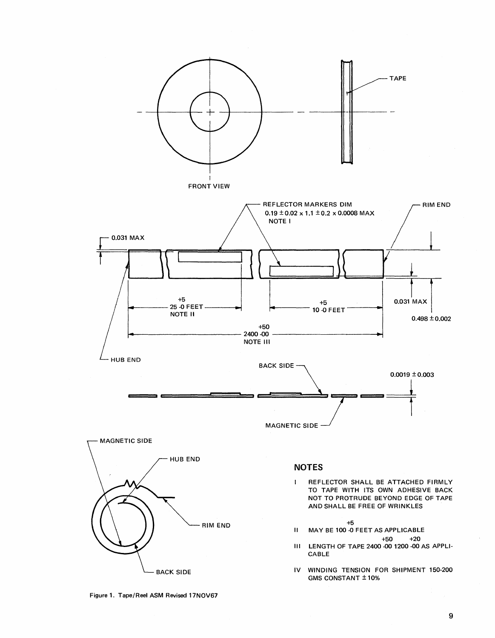

**BACK SIDE** 

Figure 1. Tape/Reel ASM Revised 17NOV67

IV WINDING TENSION FOR SHIPMENT 150-200 GMS CONSTANT ± 10%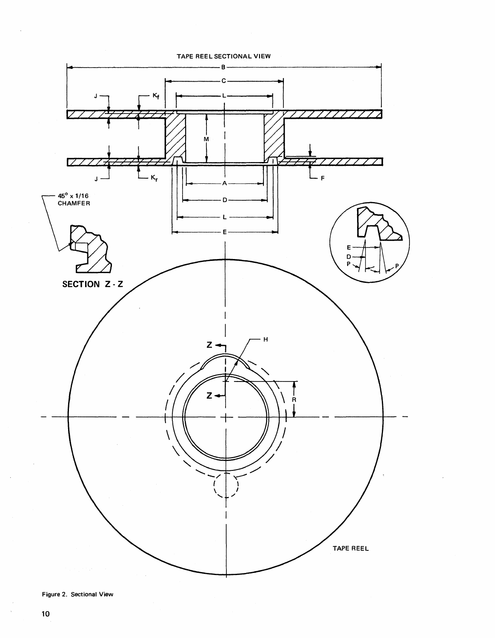

Figure 2. Sectional View

 $\bar{v}$ 

 $\mathcal{L}$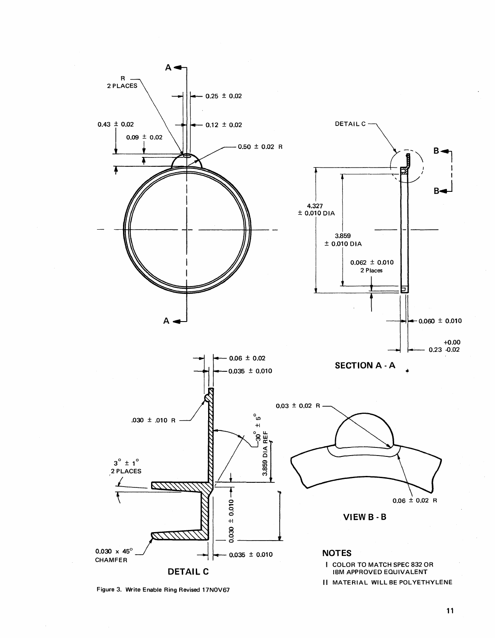

Figure 3. Write Enable Ring Revised 17NOV67

**11**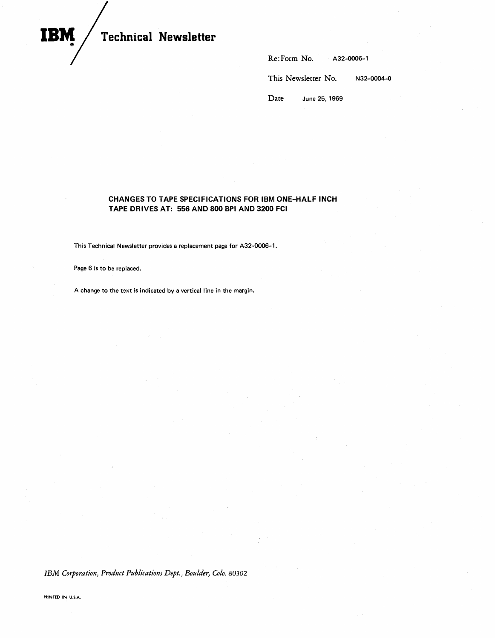# **Technical Newsletter**

| Re:Form No. | A32-0006-1 |
|-------------|------------|
|             |            |

This Newsletter No. N32-0004-0

Date June 25, 1969

## **CHANGES TO TAPE SPECIFICATIONS FOR IBM ONE-HALF INCH TAPE DRIVES AT: 556 AND 800 BPI AND 3200 FCI**

This Technical Newsletter provides a replacement page for A32-0006-1.

Page 6 is to be replaced.

A change to the text is indicated by a vertical line in the margin.

*IBM Corporation, Product Publications Dept., Boulder, Colo. 80302*